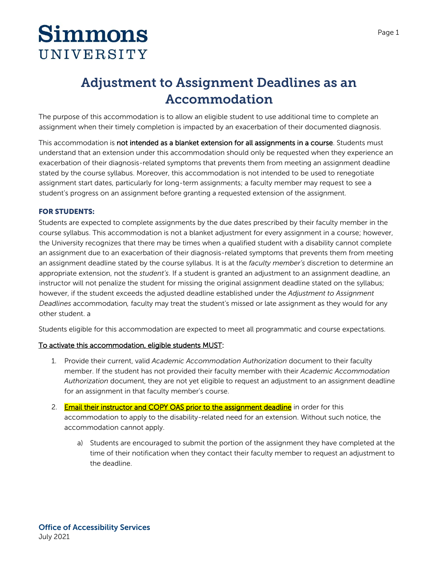# **Simmons** UNIVERSITY

# **Adjustment to Assignment Deadlines as an Accommodation**

The purpose of this accommodation is to allow an eligible student to use additional time to complete an assignment when their timely completion is impacted by an exacerbation of their documented diagnosis.

This accommodation is not intended as a blanket extension for all assignments in a course. Students must understand that an extension under this accommodation should only be requested when they experience an exacerbation of their diagnosis-related symptoms that prevents them from meeting an assignment deadline stated by the course syllabus. Moreover, this accommodation is not intended to be used to renegotiate assignment start dates, particularly for long-term assignments; a faculty member may request to see a student's progress on an assignment before granting a requested extension of the assignment.

#### **FOR STUDENTS:**

Students are expected to complete assignments by the due dates prescribed by their faculty member in the course syllabus. This accommodation is not a blanket adjustment for every assignment in a course; however, the University recognizes that there may be times when a qualified student with a disability cannot complete an assignment due to an exacerbation of their diagnosis-related symptoms that prevents them from meeting an assignment deadline stated by the course syllabus. It is at the *faculty member's* discretion to determine an appropriate extension, not the *student's*. If a student is granted an adjustment to an assignment deadline, an instructor will not penalize the student for missing the original assignment deadline stated on the syllabus; however, if the student exceeds the adjusted deadline established under the *Adjustment to Assignment Deadlines* accommodation*,* faculty may treat the student's missed or late assignment as they would for any other student. a

Students eligible for this accommodation are expected to meet all programmatic and course expectations.

#### To activate this accommodation, eligible students MUST:

- 1. Provide their current, valid *Academic Accommodation Authorization* document to their faculty member. If the student has not provided their faculty member with their *Academic Accommodation Authorization* document, they are not yet eligible to request an adjustment to an assignment deadline for an assignment in that faculty member's course.
- 2. Email their instructor and COPY OAS prior to the assignment deadline in order for this accommodation to apply to the disability-related need for an extension. Without such notice, the accommodation cannot apply.
	- a) Students are encouraged to submit the portion of the assignment they have completed at the time of their notification when they contact their faculty member to request an adjustment to the deadline.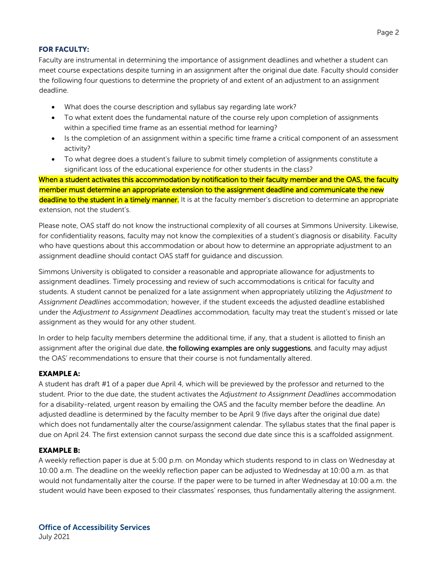### **FOR FACULTY:**

Faculty are instrumental in determining the importance of assignment deadlines and whether a student can meet course expectations despite turning in an assignment after the original due date. Faculty should consider the following four questions to determine the propriety of and extent of an adjustment to an assignment deadline.

- What does the course description and syllabus say regarding late work?
- To what extent does the fundamental nature of the course rely upon completion of assignments within a specified time frame as an essential method for learning?
- Is the completion of an assignment within a specific time frame a critical component of an assessment activity?
- To what degree does a student's failure to submit timely completion of assignments constitute a significant loss of the educational experience for other students in the class?

 When a student activates this accommodation by notification to their faculty member and the OAS, the faculty member must determine an appropriate extension to the assignment deadline and communicate the new deadline to the student in a timely manner. It is at the faculty member's discretion to determine an appropriate extension, not the student's.

Please note, OAS staff do not know the instructional complexity of all courses at Simmons University. Likewise, for confidentiality reasons, faculty may not know the complexities of a student's diagnosis or disability. Faculty who have questions about this accommodation or about how to determine an appropriate adjustment to an assignment deadline should contact OAS staff for guidance and discussion.

Simmons University is obligated to consider a reasonable and appropriate allowance for adjustments to assignment deadlines. Timely processing and review of such accommodations is critical for faculty and students. A student cannot be penalized for a late assignment when appropriately utilizing the *Adjustment to Assignment Deadlines* accommodation; however, if the student exceeds the adjusted deadline established under the *Adjustment to Assignment Deadlines* accommodation*,* faculty may treat the student's missed or late assignment as they would for any other student.

In order to help faculty members determine the additional time, if any, that a student is allotted to finish an assignment after the original due date, the following examples are only suggestions, and faculty may adjust the OAS' recommendations to ensure that their course is not fundamentally altered.

## **EXAMPLE A:**

A student has draft #1 of a paper due April 4, which will be previewed by the professor and returned to the student. Prior to the due date, the student activates the *Adjustment to Assignment Deadlines* accommodation for a disability-related, urgent reason by emailing the OAS and the faculty member before the deadline. An adjusted deadline is determined by the faculty member to be April 9 (five days after the original due date) which does not fundamentally alter the course/assignment calendar. The syllabus states that the final paper is due on April 24. The first extension cannot surpass the second due date since this is a scaffolded assignment.

#### **EXAMPLE B:**

A weekly reflection paper is due at 5:00 p.m. on Monday which students respond to in class on Wednesday at 10:00 a.m. The deadline on the weekly reflection paper can be adjusted to Wednesday at 10:00 a.m. as that would not fundamentally alter the course. If the paper were to be turned in after Wednesday at 10:00 a.m. the student would have been exposed to their classmates' responses, thus fundamentally altering the assignment.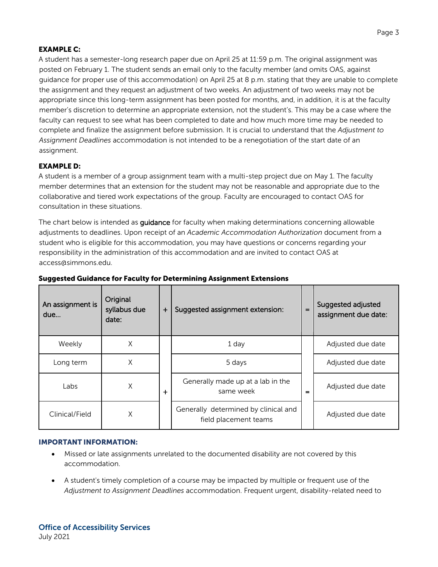### **EXAMPLE C:**

A student has a semester-long research paper due on April 25 at 11:59 p.m. The original assignment was posted on February 1. The student sends an email only to the faculty member (and omits OAS, against guidance for proper use of this accommodation) on April 25 at 8 p.m. stating that they are unable to complete the assignment and they request an adjustment of two weeks. An adjustment of two weeks may not be appropriate since this long-term assignment has been posted for months, and, in addition, it is at the faculty member's discretion to determine an appropriate extension, not the student's. This may be a case where the faculty can request to see what has been completed to date and how much more time may be needed to complete and finalize the assignment before submission. It is crucial to understand that the *Adjustment to Assignment Deadlines* accommodation is not intended to be a renegotiation of the start date of an assignment.

#### **EXAMPLE D:**

A student is a member of a group assignment team with a multi-step project due on May 1. The faculty member determines that an extension for the student may not be reasonable and appropriate due to the collaborative and tiered work expectations of the group. Faculty are encouraged to contact OAS for consultation in these situations.

The chart below is intended as **quidance** for faculty when making determinations concerning allowable adjustments to deadlines. Upon receipt of an *Academic Accommodation Authorization* document from a student who is eligible for this accommodation, you may have questions or concerns regarding your responsibility in the administration of this accommodation and are invited to contact OAS at [access@simmons.edu.](mailto:access@simmons.edu)

| An assignment is<br>due | Original<br>syllabus due<br>date: | $\ddot{}$ | Suggested assignment extension:                               | $=$ | Suggested adjusted<br>assignment due date: |
|-------------------------|-----------------------------------|-----------|---------------------------------------------------------------|-----|--------------------------------------------|
| Weekly                  | Χ                                 |           | 1 day                                                         |     | Adjusted due date                          |
| Long term               | Χ                                 |           | 5 days                                                        |     | Adjusted due date                          |
| Labs                    | Χ                                 | $\div$    | Generally made up at a lab in the<br>same week                | =   | Adjusted due date                          |
| Clinical/Field          | Χ                                 |           | Generally determined by clinical and<br>field placement teams |     | Adjusted due date                          |

#### **Suggested Guidance for Faculty for Determining Assignment Extensions**

#### **IMPORTANT INFORMATION:**

- Missed or late assignments unrelated to the documented disability are not covered by this accommodation.
- A student's timely completion of a course may be impacted by multiple or frequent use of the *Adjustment to Assignment Deadlines* accommodation. Frequent urgent, disability-related need to